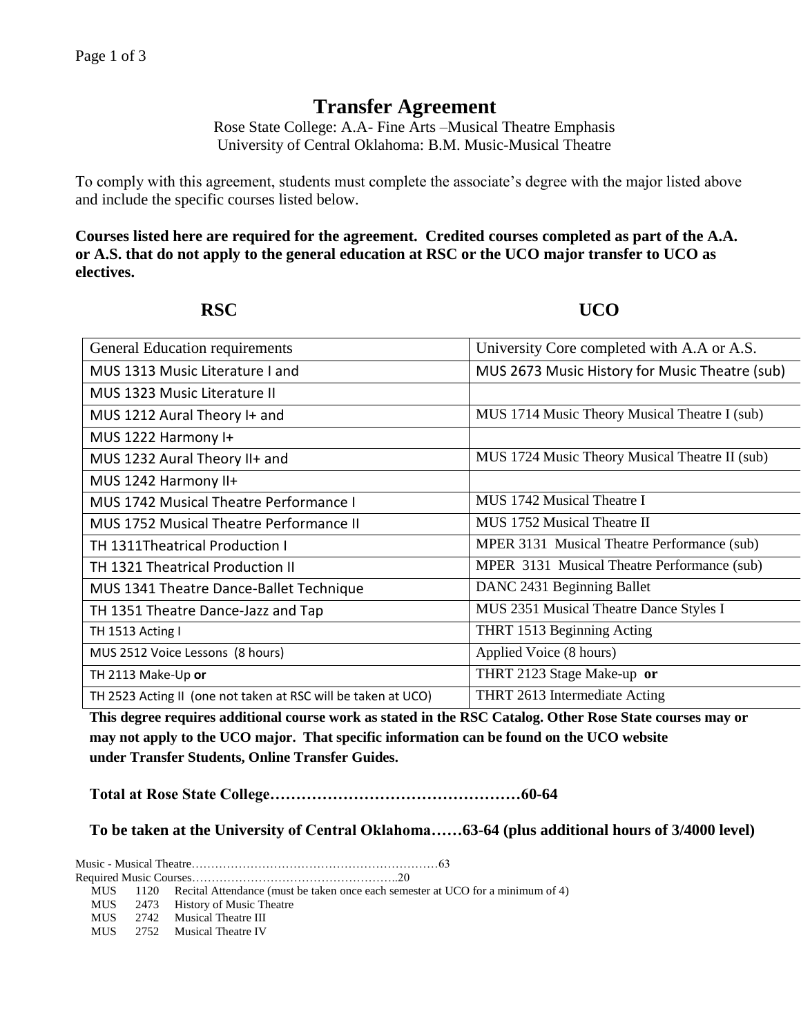## **Transfer Agreement**

Rose State College: A.A- Fine Arts –Musical Theatre Emphasis University of Central Oklahoma: B.M. Music-Musical Theatre

To comply with this agreement, students must complete the associate's degree with the major listed above and include the specific courses listed below.

**Courses listed here are required for the agreement. Credited courses completed as part of the A.A. or A.S. that do not apply to the general education at RSC or the UCO major transfer to UCO as electives.**

**RSC UCO** 

| <b>General Education requirements</b>                         | University Core completed with A.A or A.S.     |
|---------------------------------------------------------------|------------------------------------------------|
| MUS 1313 Music Literature I and                               | MUS 2673 Music History for Music Theatre (sub) |
| MUS 1323 Music Literature II                                  |                                                |
| MUS 1212 Aural Theory I+ and                                  | MUS 1714 Music Theory Musical Theatre I (sub)  |
| MUS 1222 Harmony I+                                           |                                                |
| MUS 1232 Aural Theory II+ and                                 | MUS 1724 Music Theory Musical Theatre II (sub) |
| MUS 1242 Harmony II+                                          |                                                |
| MUS 1742 Musical Theatre Performance I                        | MUS 1742 Musical Theatre I                     |
| <b>MUS 1752 Musical Theatre Performance II</b>                | MUS 1752 Musical Theatre II                    |
| TH 1311Theatrical Production I                                | MPER 3131 Musical Theatre Performance (sub)    |
| TH 1321 Theatrical Production II                              | MPER 3131 Musical Theatre Performance (sub)    |
| MUS 1341 Theatre Dance-Ballet Technique                       | DANC 2431 Beginning Ballet                     |
| TH 1351 Theatre Dance-Jazz and Tap                            | MUS 2351 Musical Theatre Dance Styles I        |
| TH 1513 Acting I                                              | THRT 1513 Beginning Acting                     |
| MUS 2512 Voice Lessons (8 hours)                              | Applied Voice (8 hours)                        |
| TH 2113 Make-Up or                                            | THRT 2123 Stage Make-up or                     |
| TH 2523 Acting II (one not taken at RSC will be taken at UCO) | THRT 2613 Intermediate Acting                  |

**This degree requires additional course work as stated in the RSC Catalog. Other Rose State courses may or may not apply to the UCO major. That specific information can be found on the UCO website under Transfer Students, Online Transfer Guides.** 

**Total at Rose State College…………………………………………60-64**

**To be taken at the University of Central Oklahoma……63-64 (plus additional hours of 3/4000 level)**

Music - Musical Theatre………………………………………………………63

Required Music Courses……………………………………………..20

MUS 1120 Recital Attendance (must be taken once each semester at UCO for a minimum of 4)

- MUS 2473 History of Music Theatre
- MUS 2742 Musical Theatre III
- MUS 2752 Musical Theatre IV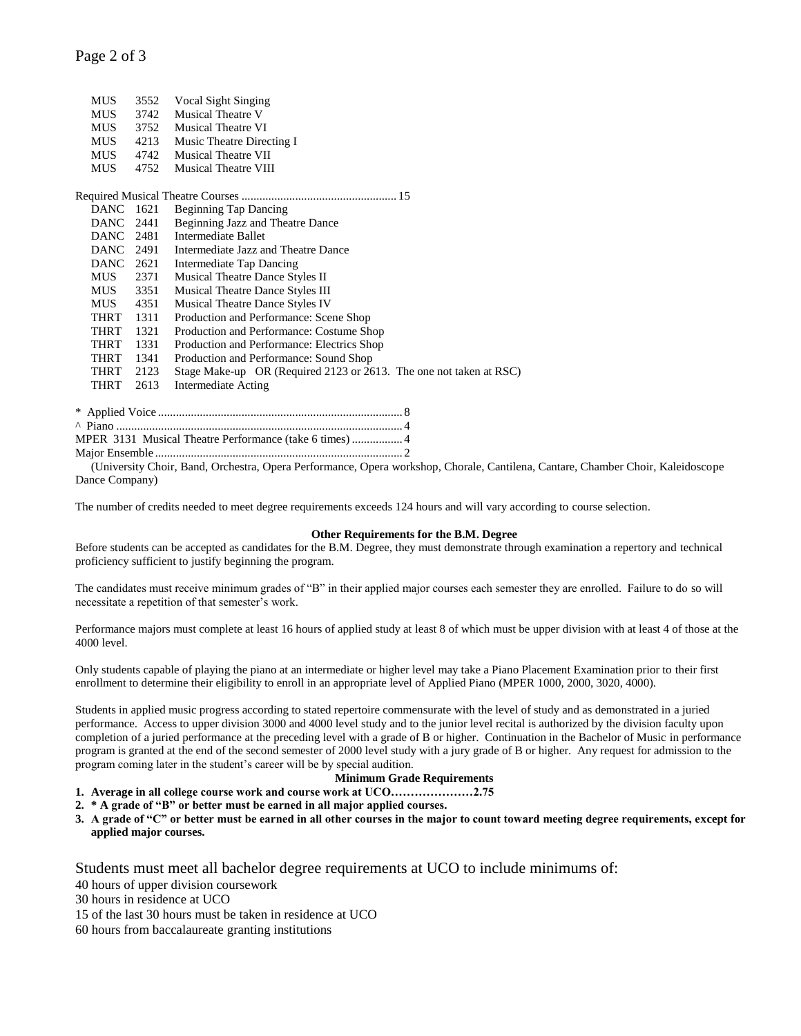## Page 2 of 3

| <b>MUS</b> | 3552 | Vocal Sight Singing                                                |
|------------|------|--------------------------------------------------------------------|
| <b>MUS</b> | 3742 | <b>Musical Theatre V</b>                                           |
| <b>MUS</b> | 3752 | <b>Musical Theatre VI</b>                                          |
| <b>MUS</b> | 4213 | Music Theatre Directing I                                          |
| <b>MUS</b> | 4742 | <b>Musical Theatre VII</b>                                         |
| <b>MUS</b> | 4752 | <b>Musical Theatre VIII</b>                                        |
|            |      |                                                                    |
| DANC 1621  |      | <b>Beginning Tap Dancing</b>                                       |
| DANC 2441  |      | Beginning Jazz and Theatre Dance                                   |
| DANC 2481  |      | Intermediate Ballet                                                |
| DANC 2491  |      | Intermediate Jazz and Theatre Dance                                |
| DANC 2621  |      | Intermediate Tap Dancing                                           |
| MUS        | 2371 | Musical Theatre Dance Styles II                                    |
| MUS        | 3351 | Musical Theatre Dance Styles III                                   |
| <b>MUS</b> | 4351 | <b>Musical Theatre Dance Styles IV</b>                             |
| THRT       | 1311 | Production and Performance: Scene Shop                             |
| THRT       | 1321 | Production and Performance: Costume Shop                           |
| THRT       | 1331 | Production and Performance: Electrics Shop                         |
| THRT       | 1341 | Production and Performance: Sound Shop                             |
| THRT       | 2123 | Stage Make-up OR (Required 2123 or 2613. The one not taken at RSC) |
| THRT       | 2613 | <b>Intermediate Acting</b>                                         |
|            |      |                                                                    |

| MPER 3131 Musical Theatre Performance (take 6 times)  4 |  |
|---------------------------------------------------------|--|
|                                                         |  |

(University Choir, Band, Orchestra, Opera Performance, Opera workshop, Chorale, Cantilena, Cantare, Chamber Choir, Kaleidoscope Dance Company)

The number of credits needed to meet degree requirements exceeds 124 hours and will vary according to course selection.

## **Other Requirements for the B.M. Degree**

Before students can be accepted as candidates for the B.M. Degree, they must demonstrate through examination a repertory and technical proficiency sufficient to justify beginning the program.

The candidates must receive minimum grades of "B" in their applied major courses each semester they are enrolled. Failure to do so will necessitate a repetition of that semester's work.

Performance majors must complete at least 16 hours of applied study at least 8 of which must be upper division with at least 4 of those at the 4000 level.

Only students capable of playing the piano at an intermediate or higher level may take a Piano Placement Examination prior to their first enrollment to determine their eligibility to enroll in an appropriate level of Applied Piano (MPER 1000, 2000, 3020, 4000).

Students in applied music progress according to stated repertoire commensurate with the level of study and as demonstrated in a juried performance. Access to upper division 3000 and 4000 level study and to the junior level recital is authorized by the division faculty upon completion of a juried performance at the preceding level with a grade of B or higher. Continuation in the Bachelor of Music in performance program is granted at the end of the second semester of 2000 level study with a jury grade of B or higher. Any request for admission to the program coming later in the student's career will be by special audition.

**Minimum Grade Requirements**

**1. Average in all college course work and course work at UCO…………………2.75**

- **2. \* A grade of "B" or better must be earned in all major applied courses.**
- **3. A grade of "C" or better must be earned in all other courses in the major to count toward meeting degree requirements, except for applied major courses.**

Students must meet all bachelor degree requirements at UCO to include minimums of:

40 hours of upper division coursework

30 hours in residence at UCO

15 of the last 30 hours must be taken in residence at UCO

60 hours from baccalaureate granting institutions